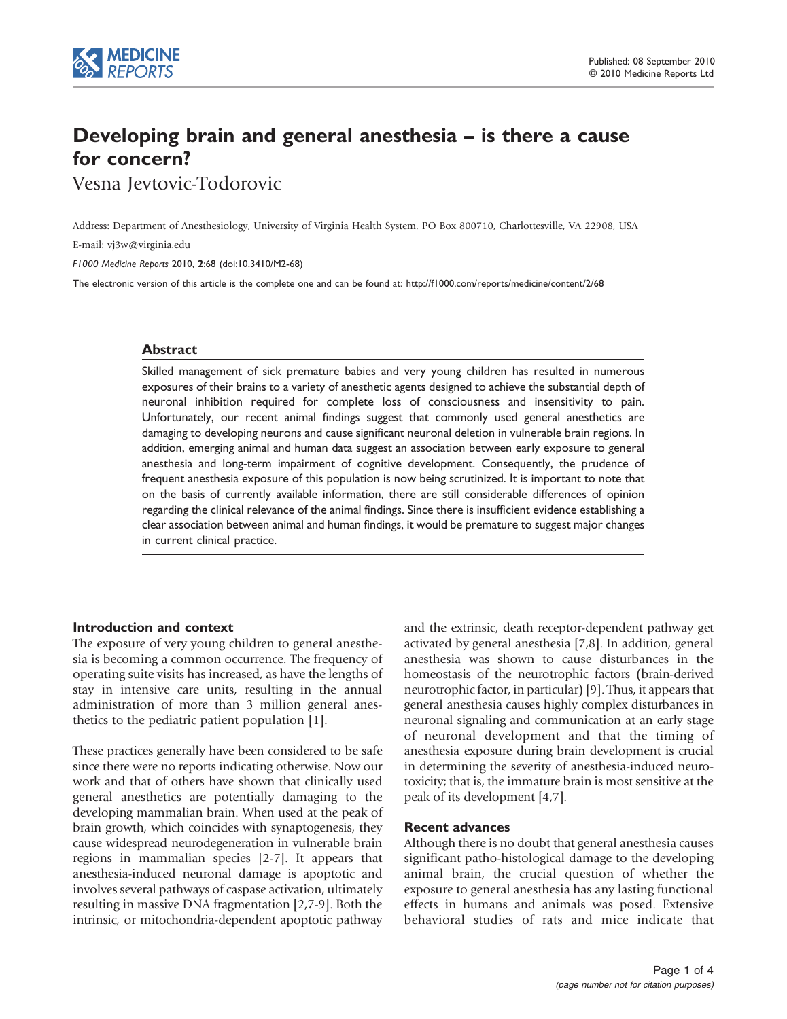

# Developing brain and general anesthesia – is there a cause for concern?

Vesna Jevtovic-Todorovic

Address: Department of Anesthesiology, University of Virginia Health System, PO Box 800710, Charlottesville, VA 22908, USA

E-mail: [vj3w@virginia.edu](mailto:vj3w@virginia.edu)

F1000 Medicine Reports 2010, 2:68 (doi:10.3410/M2-68)

The electronic version of this article is the complete one and can be found at:<http://f1000.com/reports/medicine/content/2/68>

## Abstract

Skilled management of sick premature babies and very young children has resulted in numerous exposures of their brains to a variety of anesthetic agents designed to achieve the substantial depth of neuronal inhibition required for complete loss of consciousness and insensitivity to pain. Unfortunately, our recent animal findings suggest that commonly used general anesthetics are damaging to developing neurons and cause significant neuronal deletion in vulnerable brain regions. In addition, emerging animal and human data suggest an association between early exposure to general anesthesia and long-term impairment of cognitive development. Consequently, the prudence of frequent anesthesia exposure of this population is now being scrutinized. It is important to note that on the basis of currently available information, there are still considerable differences of opinion regarding the clinical relevance of the animal findings. Since there is insufficient evidence establishing a clear association between animal and human findings, it would be premature to suggest major changes in current clinical practice.

# Introduction and context

The exposure of very young children to general anesthesia is becoming a common occurrence. The frequency of operating suite visits has increased, as have the lengths of stay in intensive care units, resulting in the annual administration of more than 3 million general anesthetics to the pediatric patient population [\[1\]](#page-2-0).

These practices generally have been considered to be safe since there were no reports indicating otherwise. Now our work and that of others have shown that clinically used general anesthetics are potentially damaging to the developing mammalian brain. When used at the peak of brain growth, which coincides with synaptogenesis, they cause widespread neurodegeneration in vulnerable brain regions in mammalian species [\[2-7](#page-2-0)]. It appears that anesthesia-induced neuronal damage is apoptotic and involves several pathways of caspase activation, ultimately resulting in massive DNA fragmentation [[2,7-9](#page-2-0)]. Both the intrinsic, or mitochondria-dependent apoptotic pathway

and the extrinsic, death receptor-dependent pathway get activated by general anesthesia [\[7,8\]](#page-2-0). In addition, general anesthesia was shown to cause disturbances in the homeostasis of the neurotrophic factors (brain-derived neurotrophic factor, in particular) [\[9\]](#page-2-0). Thus, it appears that general anesthesia causes highly complex disturbances in neuronal signaling and communication at an early stage of neuronal development and that the timing of anesthesia exposure during brain development is crucial in determining the severity of anesthesia-induced neurotoxicity; that is, the immature brain is most sensitive at the peak of its development [\[4,7\]](#page-2-0).

# Recent advances

Although there is no doubt that general anesthesia causes significant patho-histological damage to the developing animal brain, the crucial question of whether the exposure to general anesthesia has any lasting functional effects in humans and animals was posed. Extensive behavioral studies of rats and mice indicate that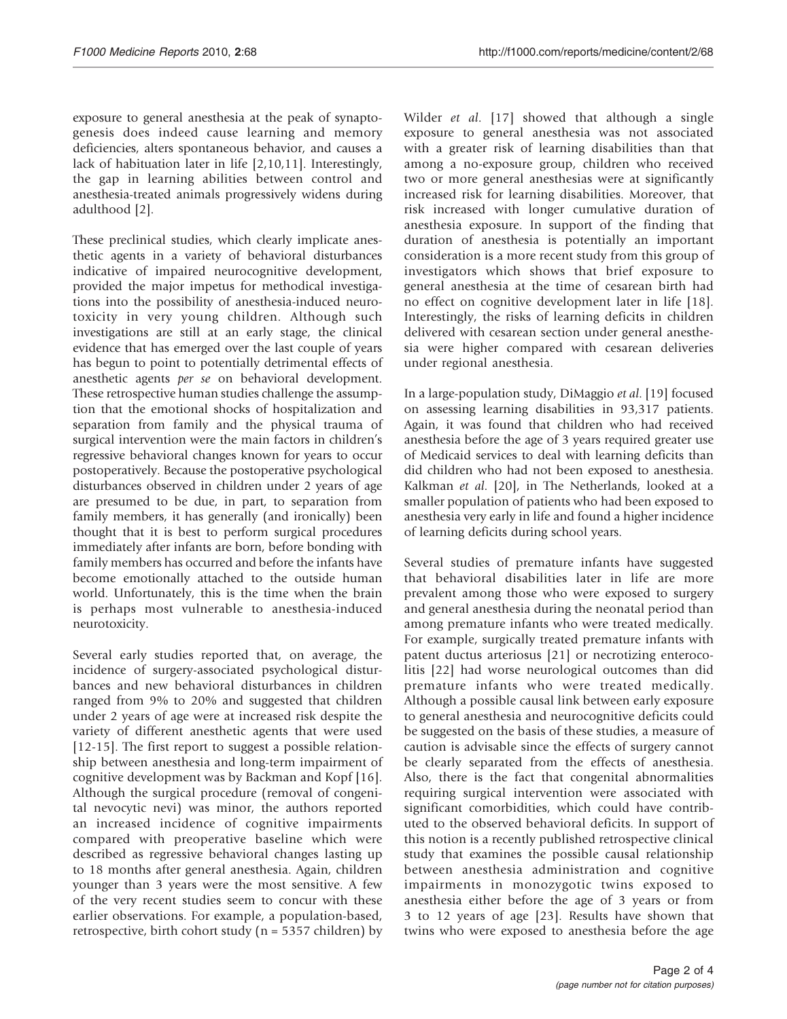exposure to general anesthesia at the peak of synaptogenesis does indeed cause learning and memory deficiencies, alters spontaneous behavior, and causes a lack of habituation later in life [[2,10,11\]](#page-2-0). Interestingly, the gap in learning abilities between control and anesthesia-treated animals progressively widens during adulthood [\[2\]](#page-2-0).

These preclinical studies, which clearly implicate anesthetic agents in a variety of behavioral disturbances indicative of impaired neurocognitive development, provided the major impetus for methodical investigations into the possibility of anesthesia-induced neurotoxicity in very young children. Although such investigations are still at an early stage, the clinical evidence that has emerged over the last couple of years has begun to point to potentially detrimental effects of anesthetic agents per se on behavioral development. These retrospective human studies challenge the assumption that the emotional shocks of hospitalization and separation from family and the physical trauma of surgical intervention were the main factors in children's regressive behavioral changes known for years to occur postoperatively. Because the postoperative psychological disturbances observed in children under 2 years of age are presumed to be due, in part, to separation from family members, it has generally (and ironically) been thought that it is best to perform surgical procedures immediately after infants are born, before bonding with family members has occurred and before the infants have become emotionally attached to the outside human world. Unfortunately, this is the time when the brain is perhaps most vulnerable to anesthesia-induced neurotoxicity.

Several early studies reported that, on average, the incidence of surgery-associated psychological disturbances and new behavioral disturbances in children ranged from 9% to 20% and suggested that children under 2 years of age were at increased risk despite the variety of different anesthetic agents that were used [\[12](#page-3-0)-[15\]](#page-3-0). The first report to suggest a possible relationship between anesthesia and long-term impairment of cognitive development was by Backman and Kopf [\[16\]](#page-3-0). Although the surgical procedure (removal of congenital nevocytic nevi) was minor, the authors reported an increased incidence of cognitive impairments compared with preoperative baseline which were described as regressive behavioral changes lasting up to 18 months after general anesthesia. Again, children younger than 3 years were the most sensitive. A few of the very recent studies seem to concur with these earlier observations. For example, a population-based, retrospective, birth cohort study ( $n = 5357$  children) by

Wilder *et al.* [\[17\]](#page-3-0) showed that although a single exposure to general anesthesia was not associated with a greater risk of learning disabilities than that among a no-exposure group, children who received two or more general anesthesias were at significantly increased risk for learning disabilities. Moreover, that risk increased with longer cumulative duration of anesthesia exposure. In support of the finding that duration of anesthesia is potentially an important consideration is a more recent study from this group of investigators which shows that brief exposure to general anesthesia at the time of cesarean birth had no effect on cognitive development later in life [\[18\]](#page-3-0). Interestingly, the risks of learning deficits in children delivered with cesarean section under general anesthesia were higher compared with cesarean deliveries under regional anesthesia.

In a large-population study, DiMaggio et al. [[19\]](#page-3-0) focused on assessing learning disabilities in 93,317 patients. Again, it was found that children who had received anesthesia before the age of 3 years required greater use of Medicaid services to deal with learning deficits than did children who had not been exposed to anesthesia. Kalkman et al. [[20\]](#page-3-0), in The Netherlands, looked at a smaller population of patients who had been exposed to anesthesia very early in life and found a higher incidence of learning deficits during school years.

Several studies of premature infants have suggested that behavioral disabilities later in life are more prevalent among those who were exposed to surgery and general anesthesia during the neonatal period than among premature infants who were treated medically. For example, surgically treated premature infants with patent ductus arteriosus [\[21\]](#page-3-0) or necrotizing enterocolitis [[22](#page-3-0)] had worse neurological outcomes than did premature infants who were treated medically. Although a possible causal link between early exposure to general anesthesia and neurocognitive deficits could be suggested on the basis of these studies, a measure of caution is advisable since the effects of surgery cannot be clearly separated from the effects of anesthesia. Also, there is the fact that congenital abnormalities requiring surgical intervention were associated with significant comorbidities, which could have contributed to the observed behavioral deficits. In support of this notion is a recently published retrospective clinical study that examines the possible causal relationship between anesthesia administration and cognitive impairments in monozygotic twins exposed to anesthesia either before the age of 3 years or from 3 to 12 years of age [\[23\]](#page-3-0). Results have shown that twins who were exposed to anesthesia before the age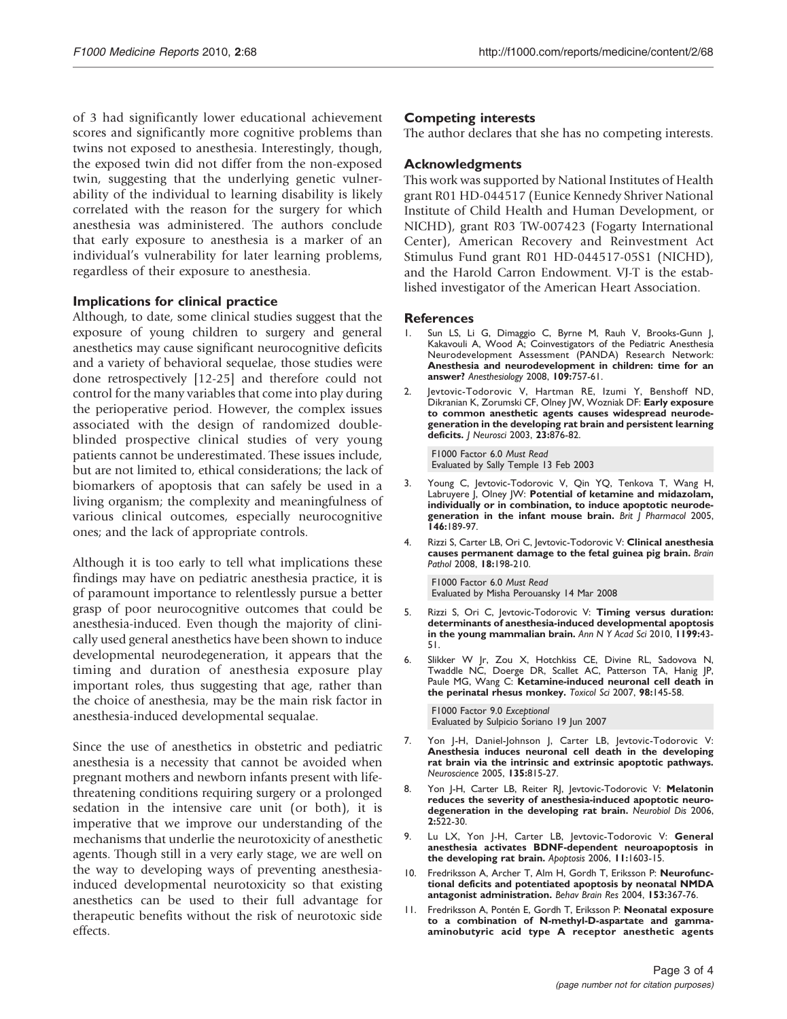<span id="page-2-0"></span>of 3 had significantly lower educational achievement scores and significantly more cognitive problems than twins not exposed to anesthesia. Interestingly, though, the exposed twin did not differ from the non-exposed twin, suggesting that the underlying genetic vulnerability of the individual to learning disability is likely correlated with the reason for the surgery for which anesthesia was administered. The authors conclude that early exposure to anesthesia is a marker of an individual's vulnerability for later learning problems, regardless of their exposure to anesthesia.

# Implications for clinical practice

Although, to date, some clinical studies suggest that the exposure of young children to surgery and general anesthetics may cause significant neurocognitive deficits and a variety of behavioral sequelae, those studies were done retrospectively [\[12-25](#page-3-0)] and therefore could not control for the many variables that come into play during the perioperative period. However, the complex issues associated with the design of randomized doubleblinded prospective clinical studies of very young patients cannot be underestimated. These issues include, but are not limited to, ethical considerations; the lack of biomarkers of apoptosis that can safely be used in a living organism; the complexity and meaningfulness of various clinical outcomes, especially neurocognitive ones; and the lack of appropriate controls.

Although it is too early to tell what implications these findings may have on pediatric anesthesia practice, it is of paramount importance to relentlessly pursue a better grasp of poor neurocognitive outcomes that could be anesthesia-induced. Even though the majority of clinically used general anesthetics have been shown to induce developmental neurodegeneration, it appears that the timing and duration of anesthesia exposure play important roles, thus suggesting that age, rather than the choice of anesthesia, may be the main risk factor in anesthesia-induced developmental sequalae.

Since the use of anesthetics in obstetric and pediatric anesthesia is a necessity that cannot be avoided when pregnant mothers and newborn infants present with lifethreatening conditions requiring surgery or a prolonged sedation in the intensive care unit (or both), it is imperative that we improve our understanding of the mechanisms that underlie the neurotoxicity of anesthetic agents. Though still in a very early stage, we are well on the way to developing ways of preventing anesthesiainduced developmental neurotoxicity so that existing anesthetics can be used to their full advantage for therapeutic benefits without the risk of neurotoxic side effects.

# Competing interests

The author declares that she has no competing interests.

# Acknowledgments

This work was supported by National Institutes of Health grant R01 HD-044517 (Eunice Kennedy Shriver National Institute of Child Health and Human Development, or NICHD), grant R03 TW-007423 (Fogarty International Center), American Recovery and Reinvestment Act Stimulus Fund grant R01 HD-044517-05S1 (NICHD), and the Harold Carron Endowment. VJ-T is the established investigator of the American Heart Association.

## References

- 1. Sun LS, Li G, Dimaggio C, Byrne M, Rauh V, Brooks-Gunn J, Kakavouli A, Wood A; Coinvestigators of the Pediatric Anesthesia Neurodevelopment Assessment (PANDA) Research Network: Anesthesia and neurodevelopment in children: time for an answer? Anesthesiology 2008, 109:757-61.
- 2. Jevtovic-Todorovic V, Hartman RE, Izumi Y, Benshoff ND, Dikranian K, Zorumski CF, Olney JW, Wozniak DF: Early exposure to common anesthetic agents causes widespread neurodegeneration in the developing rat brain and persistent learning deficits. J Neurosci 2003, 23:876-82.

[F1000 Factor 6.0](http://www.f1000biology.com/article/id/1011968) Must Read Evaluated by Sally Temple 13 Feb 2003

- 3. Young C, Jevtovic-Todorovic V, Qin YQ, Tenkova T, Wang H, Labruyere J, Olney JW: Potential of ketamine and midazolam, individually or in combination, to induce apoptotic neurodegeneration in the infant mouse brain. Brit | Pharmacol 2005, 146:189-97.
- 4. Rizzi S, Carter LB, Ori C, Jevtovic-Todorovic V: Clinical anesthesia causes permanent damage to the fetal guinea pig brain. Brain Pathol 2008, 18:198-210.

[F1000 Factor 6.0](http://www.f1000medicine.com/article/id/1103388) Must Read Evaluated by Misha Perouansky 14 Mar 2008

- 5. Rizzi S, Ori C, Jevtovic-Todorovic V: Timing versus duration: determinants of anesthesia-induced developmental apoptosis in the young mammalian brain. Ann N Y Acad Sci 2010, 1199:43- 51.
- 6. Slikker W Jr, Zou X, Hotchkiss CE, Divine RL, Sadovova N, Twaddle NC, Doerge DR, Scallet AC, Patterson TA, Hanig JP, Paule MG, Wang C: Ketamine-induced neuronal cell death in the perinatal rhesus monkey. Toxicol Sci 2007, 98:145-58.

[F1000 Factor 9.0](http://www.f1000medicine.com/article/id/1087834) Exceptional Evaluated by Sulpicio Soriano 19 Jun 2007

- 7. Yon J-H, Daniel-Johnson J, Carter LB, Jevtovic-Todorovic V: Anesthesia induces neuronal cell death in the developing rat brain via the intrinsic and extrinsic apoptotic pathways. Neuroscience 2005, 135:815-27.
- 8. Yon J-H, Carter LB, Reiter RJ, Jevtovic-Todorovic V: Melatonin reduces the severity of anesthesia-induced apoptotic neurodegeneration in the developing rat brain. Neurobiol Dis 2006, 2:522-30.
- 9. Lu LX, Yon J-H, Carter LB, Jevtovic-Todorovic V: General anesthesia activates BDNF-dependent neuroapoptosis in the developing rat brain. Apoptosis 2006, 11:1603-15.
- 10. Fredriksson A, Archer T, Alm H, Gordh T, Eriksson P: Neurofunctional deficits and potentiated apoptosis by neonatal NMDA antagonist administration. Behav Brain Res 2004, 153:367-76.
- 11. Fredriksson A, Pontén E, Gordh T, Eriksson P: Neonatal exposure to a combination of N-methyl-D-aspartate and gammaaminobutyric acid type A receptor anesthetic agents